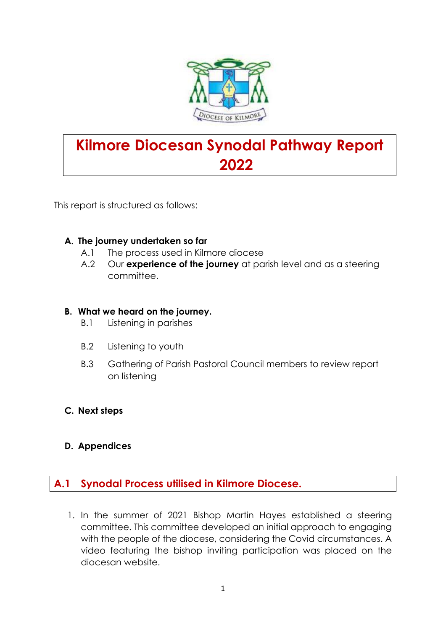

# **Kilmore Diocesan Synodal Pathway Report 2022**

This report is structured as follows:

#### **A. The journey undertaken so far**

- A.1 The process used in Kilmore diocese
- A.2 Our **experience of the journey** at parish level and as a steering committee.

#### **B. What we heard on the journey.**

- B.1 Listening in parishes
- B.2 Listening to youth
- B.3 Gathering of Parish Pastoral Council members to review report on listening

#### **C. Next steps**

**D. Appendices**

#### **A.1 Synodal Process utilised in Kilmore Diocese.**

1. In the summer of 2021 Bishop Martin Hayes established a steering committee. This committee developed an initial approach to engaging with the people of the diocese, considering the Covid circumstances. A video featuring the bishop inviting participation was placed on the diocesan website.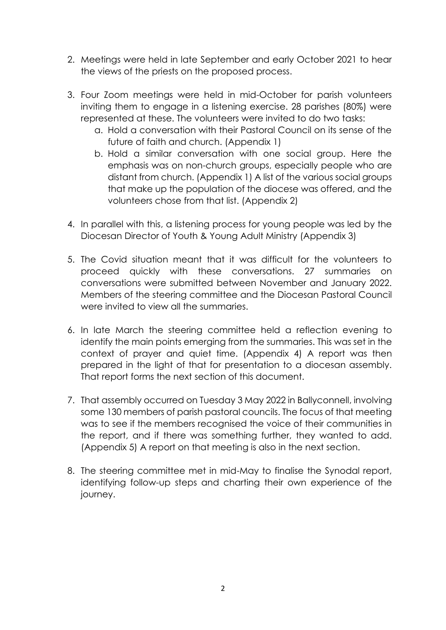- 2. Meetings were held in late September and early October 2021 to hear the views of the priests on the proposed process.
- 3. Four Zoom meetings were held in mid-October for parish volunteers inviting them to engage in a listening exercise. 28 parishes (80%) were represented at these. The volunteers were invited to do two tasks:
	- a. Hold a conversation with their Pastoral Council on its sense of the future of faith and church. (Appendix 1)
	- b. Hold a similar conversation with one social group. Here the emphasis was on non-church groups, especially people who are distant from church. (Appendix 1) A list of the various social groups that make up the population of the diocese was offered, and the volunteers chose from that list. (Appendix 2)
- 4. In parallel with this, a listening process for young people was led by the Diocesan Director of Youth & Young Adult Ministry (Appendix 3)
- 5. The Covid situation meant that it was difficult for the volunteers to proceed quickly with these conversations. 27 summaries on conversations were submitted between November and January 2022. Members of the steering committee and the Diocesan Pastoral Council were invited to view all the summaries.
- 6. In late March the steering committee held a reflection evening to identify the main points emerging from the summaries. This was set in the context of prayer and quiet time. (Appendix 4) A report was then prepared in the light of that for presentation to a diocesan assembly. That report forms the next section of this document.
- 7. That assembly occurred on Tuesday 3 May 2022 in Ballyconnell, involving some 130 members of parish pastoral councils. The focus of that meeting was to see if the members recognised the voice of their communities in the report, and if there was something further, they wanted to add. (Appendix 5) A report on that meeting is also in the next section.
- 8. The steering committee met in mid-May to finalise the Synodal report, identifying follow-up steps and charting their own experience of the journey.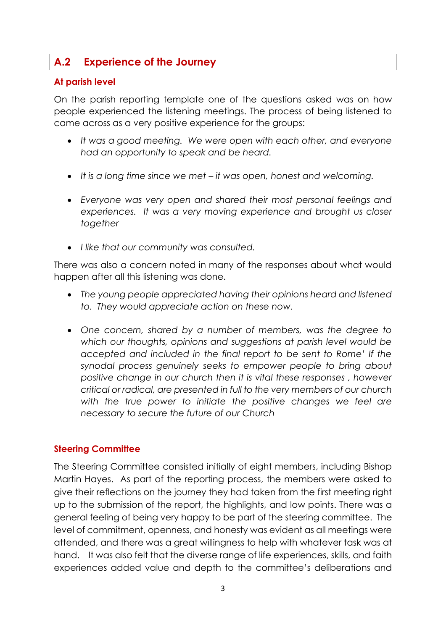### **A.2 Experience of the Journey**

#### **At parish level**

On the parish reporting template one of the questions asked was on how people experienced the listening meetings. The process of being listened to came across as a very positive experience for the groups:

- *It was a good meeting. We were open with each other, and everyone had an opportunity to speak and be heard.*
- *It is a long time since we met – it was open, honest and welcoming.*
- *Everyone was very open and shared their most personal feelings and experiences. It was a very moving experience and brought us closer together*
- *I like that our community was consulted.*

There was also a concern noted in many of the responses about what would happen after all this listening was done.

- *The young people appreciated having their opinions heard and listened to. They would appreciate action on these now.*
- *One concern, shared by a number of members, was the degree to which our thoughts, opinions and suggestions at parish level would be accepted and included in the final report to be sent to Rome' If the synodal process genuinely seeks to empower people to bring about positive change in our church then it is vital these responses , however critical or radical, are presented in full to the very members of our church*  with the true power to initiate the positive changes we feel are *necessary to secure the future of our Church*

#### **Steering Committee**

The Steering Committee consisted initially of eight members, including Bishop Martin Hayes. As part of the reporting process, the members were asked to give their reflections on the journey they had taken from the first meeting right up to the submission of the report, the highlights, and low points. There was a general feeling of being very happy to be part of the steering committee. The level of commitment, openness, and honesty was evident as all meetings were attended, and there was a great willingness to help with whatever task was at hand. It was also felt that the diverse range of life experiences, skills, and faith experiences added value and depth to the committee's deliberations and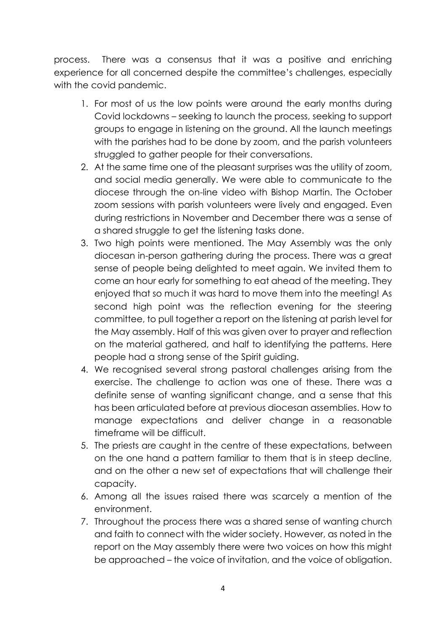process. There was a consensus that it was a positive and enriching experience for all concerned despite the committee's challenges, especially with the covid pandemic.

- 1. For most of us the low points were around the early months during Covid lockdowns – seeking to launch the process, seeking to support groups to engage in listening on the ground. All the launch meetings with the parishes had to be done by zoom, and the parish volunteers struggled to gather people for their conversations.
- 2. At the same time one of the pleasant surprises was the utility of zoom, and social media generally. We were able to communicate to the diocese through the on-line video with Bishop Martin. The October zoom sessions with parish volunteers were lively and engaged. Even during restrictions in November and December there was a sense of a shared struggle to get the listening tasks done.
- 3. Two high points were mentioned. The May Assembly was the only diocesan in-person gathering during the process. There was a great sense of people being delighted to meet again. We invited them to come an hour early for something to eat ahead of the meeting. They enjoyed that so much it was hard to move them into the meeting! As second high point was the reflection evening for the steering committee, to pull together a report on the listening at parish level for the May assembly. Half of this was given over to prayer and reflection on the material gathered, and half to identifying the patterns. Here people had a strong sense of the Spirit guiding.
- 4. We recognised several strong pastoral challenges arising from the exercise. The challenge to action was one of these. There was a definite sense of wanting significant change, and a sense that this has been articulated before at previous diocesan assemblies. How to manage expectations and deliver change in a reasonable timeframe will be difficult.
- 5. The priests are caught in the centre of these expectations, between on the one hand a pattern familiar to them that is in steep decline, and on the other a new set of expectations that will challenge their capacity.
- 6. Among all the issues raised there was scarcely a mention of the environment.
- 7. Throughout the process there was a shared sense of wanting church and faith to connect with the wider society. However, as noted in the report on the May assembly there were two voices on how this might be approached – the voice of invitation, and the voice of obligation.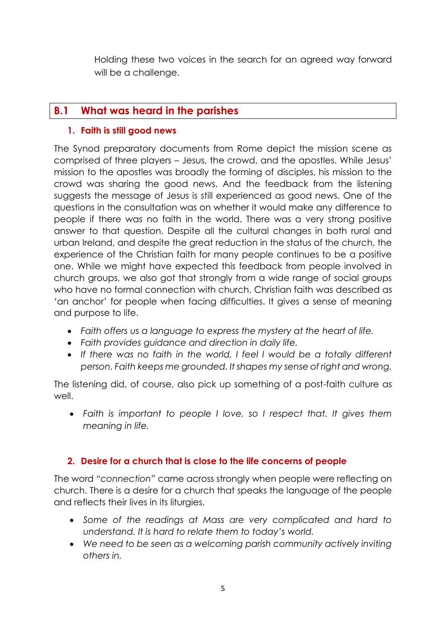Holding these two voices in the search for an agreed way forward will be a challenge.

### **B.1 What was heard in the parishes**

#### **1. Faith is still good news**

The Synod preparatory documents from Rome depict the mission scene as comprised of three players – Jesus, the crowd, and the apostles. While Jesus' mission to the apostles was broadly the forming of disciples, his mission to the crowd was sharing the good news. And the feedback from the listening suggests the message of Jesus is still experienced as good news. One of the questions in the consultation was on whether it would make any difference to people if there was no faith in the world. There was a very strong positive answer to that question. Despite all the cultural changes in both rural and urban Ireland, and despite the great reduction in the status of the church, the experience of the Christian faith for many people continues to be a positive one. While we might have expected this feedback from people involved in church groups, we also got that strongly from a wide range of social groups who have no formal connection with church. Christian faith was described as 'an anchor' for people when facing difficulties. It gives a sense of meaning and purpose to life.

- *Faith offers us a language to express the mystery at the heart of life.*
- *Faith provides guidance and direction in daily life.*
- *If there was no faith in the world, I feel I would be a totally different person. Faith keeps me grounded. It shapes my sense of right and wrong.*

The listening did, of course, also pick up something of a post-faith culture as well.

• *Faith is important to people I love, so I respect that. It gives them meaning in life.* 

#### **2. Desire for a church that is close to the life concerns of people**

The word "*connection"* came across strongly when people were reflecting on church. There is a desire for a church that speaks the language of the people and reflects their lives in its liturgies.

- *Some of the readings at Mass are very complicated and hard to understand. It is hard to relate them to today's world.*
- *We need to be seen as a welcoming parish community actively inviting others in.*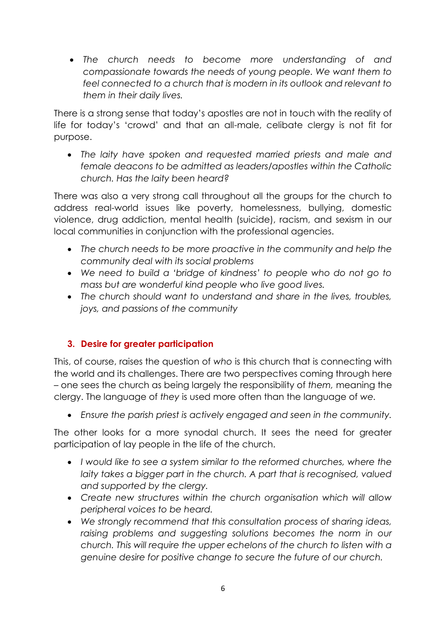• *The church needs to become more understanding of and compassionate towards the needs of young people. We want them to feel connected to a church that is modern in its outlook and relevant to them in their daily lives.*

There is a strong sense that today's apostles are not in touch with the reality of life for today's 'crowd' and that an all-male, celibate clergy is not fit for purpose.

• *The laity have spoken and requested married priests and male and female deacons to be admitted as leaders/apostles within the Catholic church. Has the laity been heard?*

There was also a very strong call throughout all the groups for the church to address real-world issues like poverty, homelessness, bullying, domestic violence, drug addiction, mental health (suicide), racism, and sexism in our local communities in conjunction with the professional agencies.

- *The church needs to be more proactive in the community and help the community deal with its social problems*
- *We need to build a 'bridge of kindness' to people who do not go to mass but are wonderful kind people who live good lives.*
- *The church should want to understand and share in the lives, troubles, joys, and passions of the community*

#### **3. Desire for greater participation**

This, of course, raises the question of *who* is this church that is connecting with the world and its challenges. There are two perspectives coming through here – one sees the church as being largely the responsibility of *them,* meaning the clergy. The language of *they* is used more often than the language of *we.* 

• *Ensure the parish priest is actively engaged and seen in the community.*

The other looks for a more synodal church. It sees the need for greater participation of lay people in the life of the church.

- *I would like to see a system similar to the reformed churches, where the laity takes a bigger part in the church. A part that is recognised, valued and supported by the clergy.*
- *Create new structures within the church organisation which will allow peripheral voices to be heard.*
- *We strongly recommend that this consultation process of sharing ideas,*  raising problems and suggesting solutions becomes the norm in our *church. This will require the upper echelons of the church to listen with a genuine desire for positive change to secure the future of our church.*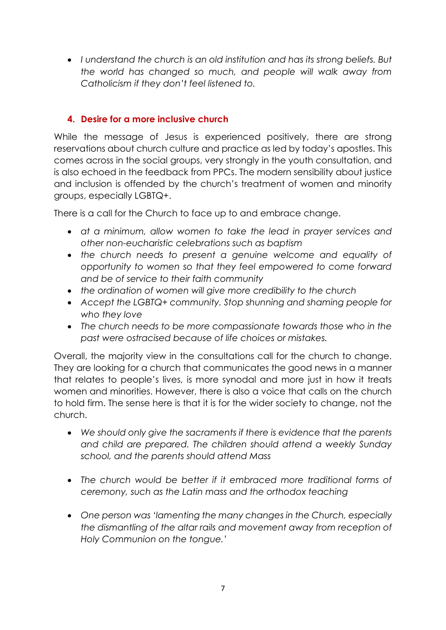• *I understand the church is an old institution and has its strong beliefs. But the world has changed so much, and people will walk away from Catholicism if they don't feel listened to.* 

#### **4. Desire for a more inclusive church**

While the message of Jesus is experienced positively, there are strong reservations about church culture and practice as led by today's apostles. This comes across in the social groups, very strongly in the youth consultation, and is also echoed in the feedback from PPCs. The modern sensibility about justice and inclusion is offended by the church's treatment of women and minority groups, especially LGBTQ+.

There is a call for the Church to face up to and embrace change.

- *at a minimum, allow women to take the lead in prayer services and other non-eucharistic celebrations such as baptism*
- *the church needs to present a genuine welcome and equality of opportunity to women so that they feel empowered to come forward and be of service to their faith community*
- *the ordination of women will give more credibility to the church*
- *Accept the LGBTQ+ community. Stop shunning and shaming people for who they love*
- *The church needs to be more compassionate towards those who in the past were ostracised because of life choices or mistakes.*

Overall, the majority view in the consultations call for the church to change. They are looking for a church that communicates the good news in a manner that relates to people's lives, is more synodal and more just in how it treats women and minorities. However, there is also a voice that calls on the church to hold firm. The sense here is that it is for the wider society to change, not the church.

- *We should only give the sacraments if there is evidence that the parents and child are prepared. The children should attend a weekly Sunday school, and the parents should attend Mass*
- *The church would be better if it embraced more traditional forms of ceremony, such as the Latin mass and the orthodox teaching*
- *One person was 'lamenting the many changes in the Church, especially the dismantling of the altar rails and movement away from reception of Holy Communion on the tongue.'*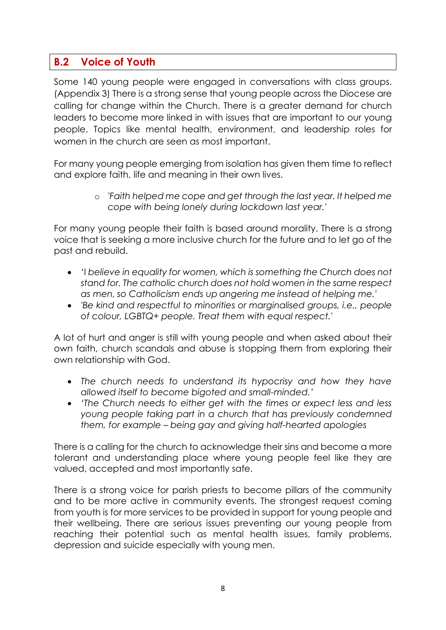### **B.2 Voice of Youth**

Some 140 young people were engaged in conversations with class groups. (Appendix 3) There is a strong sense that young people across the Diocese are calling for change within the Church. There is a greater demand for church leaders to become more linked in with issues that are important to our young people. Topics like mental health, environment, and leadership roles for women in the church are seen as most important.

For many young people emerging from isolation has given them time to reflect and explore faith, life and meaning in their own lives.

> o *'Faith helped me cope and get through the last year. It helped me cope with being lonely during lockdown last year.'*

For many young people their faith is based around morality. There is a strong voice that is seeking a more inclusive church for the future and to let go of the past and rebuild.

- 'I *believe in equality for women, which is something the Church does not stand for. The catholic church does not hold women in the same respect as men, so Catholicism ends up angering me instead of helping me.'*
- *'Be kind and respectful to minorities or marginalised groups, i.e., people of colour, LGBTQ+ people. Treat them with equal respect.'*

A lot of hurt and anger is still with young people and when asked about their own faith, church scandals and abuse is stopping them from exploring their own relationship with God.

- *The church needs to understand its hypocrisy and how they have allowed itself to become bigoted and small-minded.'*
- *'The Church needs to either get with the times or expect less and less young people taking part in a church that has previously condemned them, for example – being gay and giving half-hearted apologies*

There is a calling for the church to acknowledge their sins and become a more tolerant and understanding place where young people feel like they are valued, accepted and most importantly safe.

There is a strong voice for parish priests to become pillars of the community and to be more active in community events. The strongest request coming from youth is for more services to be provided in support for young people and their wellbeing. There are serious issues preventing our young people from reaching their potential such as mental health issues, family problems, depression and suicide especially with young men.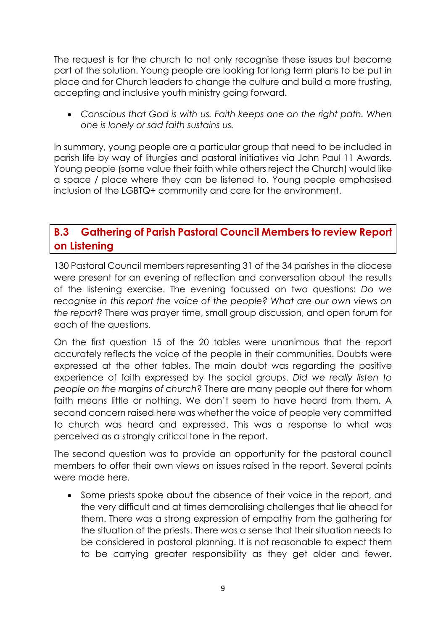The request is for the church to not only recognise these issues but become part of the solution. Young people are looking for long term plans to be put in place and for Church leaders to change the culture and build a more trusting, accepting and inclusive youth ministry going forward.

• *Conscious that God is with us. Faith keeps one on the right path. When one is lonely or sad faith sustains us.*

In summary, young people are a particular group that need to be included in parish life by way of liturgies and pastoral initiatives via John Paul 11 Awards. Young people (some value their faith while others reject the Church) would like a space / place where they can be listened to. Young people emphasised inclusion of the LGBTQ+ community and care for the environment.

### **B.3 Gathering of Parish Pastoral Council Members to review Report on Listening**

130 Pastoral Council members representing 31 of the 34 parishes in the diocese were present for an evening of reflection and conversation about the results of the listening exercise. The evening focussed on two questions: *Do we recognise in this report the voice of the people? What are our own views on the report?* There was prayer time, small group discussion, and open forum for each of the questions.

On the first question 15 of the 20 tables were unanimous that the report accurately reflects the voice of the people in their communities. Doubts were expressed at the other tables. The main doubt was regarding the positive experience of faith expressed by the social groups. *Did we really listen to people on the margins of church*? There are many people out there for whom faith means little or nothing. We don't seem to have heard from them. A second concern raised here was whether the voice of people very committed to church was heard and expressed. This was a response to what was perceived as a strongly critical tone in the report.

The second question was to provide an opportunity for the pastoral council members to offer their own views on issues raised in the report. Several points were made here.

• Some priests spoke about the absence of their voice in the report, and the very difficult and at times demoralising challenges that lie ahead for them. There was a strong expression of empathy from the gathering for the situation of the priests. There was a sense that their situation needs to be considered in pastoral planning. It is not reasonable to expect them to be carrying greater responsibility as they get older and fewer.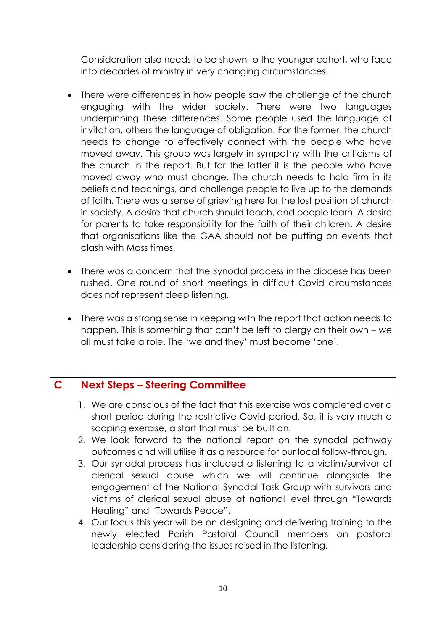Consideration also needs to be shown to the younger cohort, who face into decades of ministry in very changing circumstances.

- There were differences in how people saw the challenge of the church engaging with the wider society. There were two languages underpinning these differences. Some people used the language of invitation, others the language of obligation. For the former, the church needs to change to effectively connect with the people who have moved away. This group was largely in sympathy with the criticisms of the church in the report. But for the latter it is the people who have moved away who must change. The church needs to hold firm in its beliefs and teachings, and challenge people to live up to the demands of faith. There was a sense of grieving here for the lost position of church in society. A desire that church should teach, and people learn. A desire for parents to take responsibility for the faith of their children. A desire that organisations like the GAA should not be putting on events that clash with Mass times.
- There was a concern that the Synodal process in the diocese has been rushed. One round of short meetings in difficult Covid circumstances does not represent deep listening.
- There was a strong sense in keeping with the report that action needs to happen. This is something that can't be left to clergy on their own – we all must take a role. The 'we and they' must become 'one'.

### **C Next Steps – Steering Committee**

- 1. We are conscious of the fact that this exercise was completed over a short period during the restrictive Covid period. So, it is very much a scoping exercise, a start that must be built on.
- 2. We look forward to the national report on the synodal pathway outcomes and will utilise it as a resource for our local follow-through.
- 3. Our synodal process has included a listening to a victim/survivor of clerical sexual abuse which we will continue alongside the engagement of the National Synodal Task Group with survivors and victims of clerical sexual abuse at national level through "Towards Healing" and "Towards Peace".
- 4. Our focus this year will be on designing and delivering training to the newly elected Parish Pastoral Council members on pastoral leadership considering the issues raised in the listening.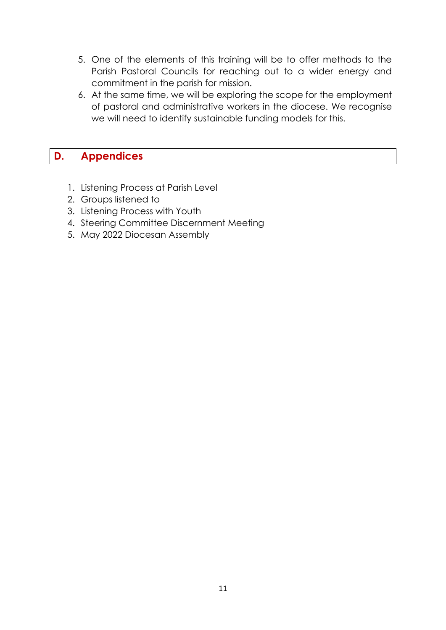- 5. One of the elements of this training will be to offer methods to the Parish Pastoral Councils for reaching out to a wider energy and commitment in the parish for mission.
- 6. At the same time, we will be exploring the scope for the employment of pastoral and administrative workers in the diocese. We recognise we will need to identify sustainable funding models for this.

### **D. Appendices**

- 1. Listening Process at Parish Level
- 2. Groups listened to
- 3. Listening Process with Youth
- 4. Steering Committee Discernment Meeting
- 5. May 2022 Diocesan Assembly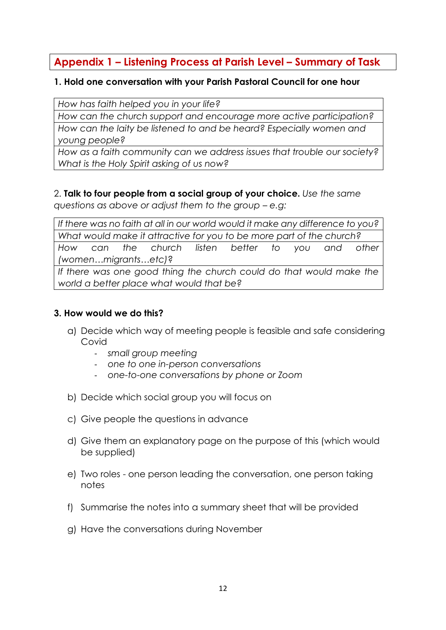### **Appendix 1 – Listening Process at Parish Level – Summary of Task**

#### **1. Hold one conversation with your Parish Pastoral Council for one hour**

*How has faith helped you in your life?* 

*How can the church support and encourage more active participation?*

*How can the laity be listened to and be heard? Especially women and young people?* 

*How as a faith community can we address issues that trouble our society? What is the Holy Spirit asking of us now?*

## 2. **Talk to four people from a social group of your choice.** *Use the same*

*questions as above or adjust them to the group – e.g:*

*If there was no faith at all in our world would it make any difference to you? What would make it attractive for you to be more part of the church? How can the church listen better to you and other (women…migrants…etc)*? If there was one good thing the church could do that would make the *world a better place what would that be?*

#### **3. How would we do this?**

- a) Decide which way of meeting people is feasible and safe considering Covid
	- *small group meeting*
	- *one to one in-person conversations*
	- *one-to-one conversations by phone or Zoom*
- b) Decide which social group you will focus on
- c) Give people the questions in advance
- d) Give them an explanatory page on the purpose of this (which would be supplied)
- e) Two roles one person leading the conversation, one person taking notes
- f) Summarise the notes into a summary sheet that will be provided
- g) Have the conversations during November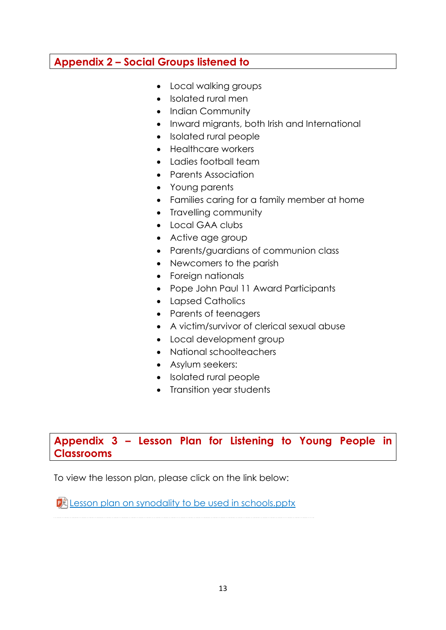### **Appendix 2 – Social Groups listened to**

- Local walking groups
- Isolated rural men
- Indian Community
- Inward migrants, both Irish and International
- Isolated rural people
- Healthcare workers
- Ladies football team
- Parents Association
- Young parents
- Families caring for a family member at home
- Travelling community
- Local GAA clubs
- Active age group
- Parents/guardians of communion class
- Newcomers to the parish
- Foreign nationals
- Pope John Paul 11 Award Participants
- Lapsed Catholics
- Parents of teenagers
- A victim/survivor of clerical sexual abuse
- Local development group
- National schoolteachers
- Asylum seekers:
- Isolated rural people
- Transition year students

### **Appendix 3 – Lesson Plan for Listening to Young People in Classrooms**

To view the lesson plan, please click on the link below:

**P** [Lesson plan on synodality to be used in schools.pptx](https://kilmorediocese-my.sharepoint.com/:p:/g/personal/youthministry_kilmorediocese_ie/Edr3l51UuDVPg7p-dYK938cBN2KCCMxfK0YqEVIUvUMNjg)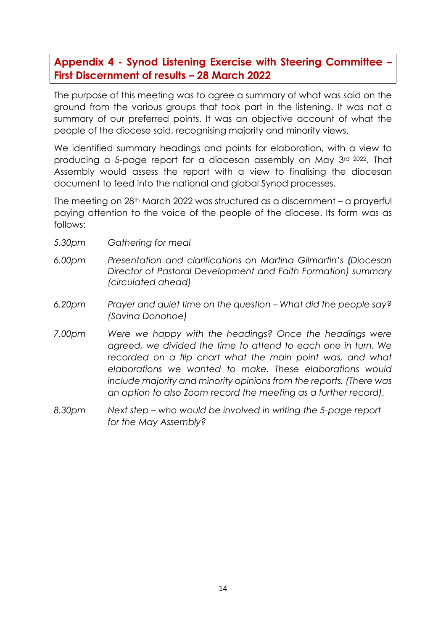### **Appendix 4 - Synod Listening Exercise with Steering Committee – First Discernment of results – 28 March 2022**

The purpose of this meeting was to agree a summary of what was said on the ground from the various groups that took part in the listening. It was not a summary of our preferred points. It was an objective account of what the people of the diocese said, recognising majority and minority views.

We identified summary headings and points for elaboration, with a view to producing a 5-page report for a diocesan assembly on May 3rd <sup>2022</sup>. That Assembly would assess the report with a view to finalising the diocesan document to feed into the national and global Synod processes.

The meeting on 28th March 2022 was structured as a discernment – a prayerful paying attention to the voice of the people of the diocese. Its form was as follows:

- *5.30pm Gathering for meal*
- *6.00pm Presentation and clarifications on Martina Gilmartin's (Diocesan Director of Pastoral Development and Faith Formation) summary (circulated ahead)*
- *6.20pm Prayer and quiet time on the question – What did the people say? (Savina Donohoe)*
- *7.00pm Were we happy with the headings? Once the headings were agreed, we divided the time to attend to each one in turn. We recorded on a flip chart what the main point was, and what elaborations we wanted to make. These elaborations would include majority and minority opinions from the reports. (There was an option to also Zoom record the meeting as a further record).*
- *8.30pm Next step – who would be involved in writing the 5-page report for the May Assembly?*